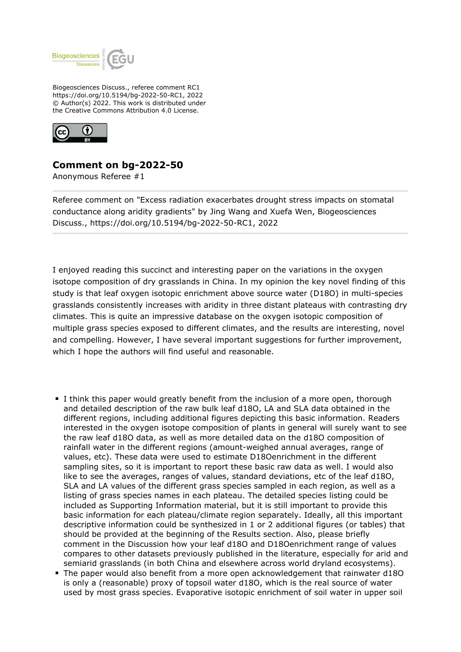

Biogeosciences Discuss., referee comment RC1 https://doi.org/10.5194/bg-2022-50-RC1, 2022 © Author(s) 2022. This work is distributed under the Creative Commons Attribution 4.0 License.



## **Comment on bg-2022-50**

Anonymous Referee #1

Referee comment on "Excess radiation exacerbates drought stress impacts on stomatal conductance along aridity gradients" by Jing Wang and Xuefa Wen, Biogeosciences Discuss., https://doi.org/10.5194/bg-2022-50-RC1, 2022

I enjoyed reading this succinct and interesting paper on the variations in the oxygen isotope composition of dry grasslands in China. In my opinion the key novel finding of this study is that leaf oxygen isotopic enrichment above source water (D18O) in multi-species grasslands consistently increases with aridity in three distant plateaus with contrasting dry climates. This is quite an impressive database on the oxygen isotopic composition of multiple grass species exposed to different climates, and the results are interesting, novel and compelling. However, I have several important suggestions for further improvement, which I hope the authors will find useful and reasonable.

- I think this paper would greatly benefit from the inclusion of a more open, thorough and detailed description of the raw bulk leaf d18O, LA and SLA data obtained in the different regions, including additional figures depicting this basic information. Readers interested in the oxygen isotope composition of plants in general will surely want to see the raw leaf d18O data, as well as more detailed data on the d18O composition of rainfall water in the different regions (amount-weighed annual averages, range of values, etc). These data were used to estimate D18Oenrichment in the different sampling sites, so it is important to report these basic raw data as well. I would also like to see the averages, ranges of values, standard deviations, etc of the leaf d18O, SLA and LA values of the different grass species sampled in each region, as well as a listing of grass species names in each plateau. The detailed species listing could be included as Supporting Information material, but it is still important to provide this basic information for each plateau/climate region separately. Ideally, all this important descriptive information could be synthesized in 1 or 2 additional figures (or tables) that should be provided at the beginning of the Results section. Also, please briefly comment in the Discussion how your leaf d18O and D18Oenrichment range of values compares to other datasets previously published in the literature, especially for arid and semiarid grasslands (in both China and elsewhere across world dryland ecosystems).
- The paper would also benefit from a more open acknowledgement that rainwater d18O is only a (reasonable) proxy of topsoil water d18O, which is the real source of water used by most grass species. Evaporative isotopic enrichment of soil water in upper soil